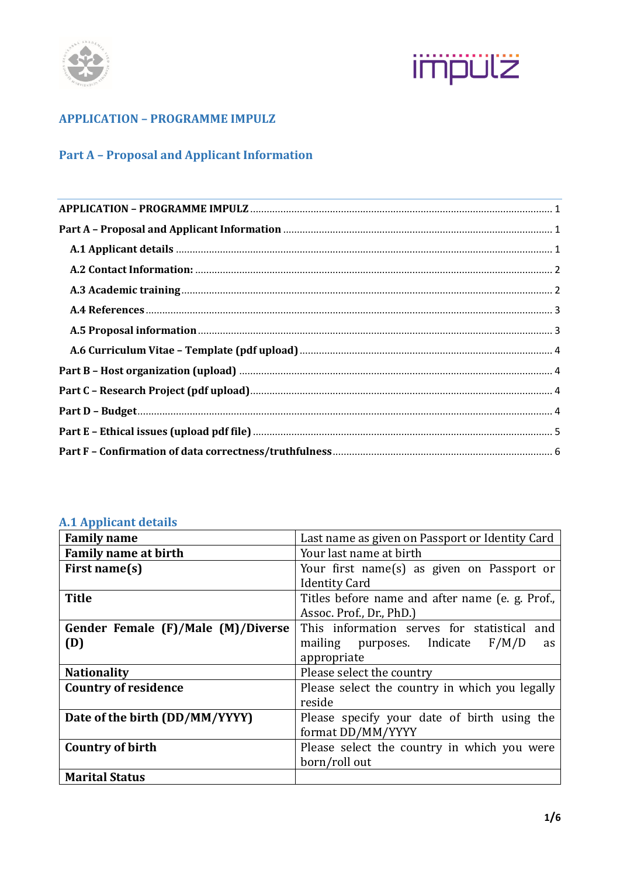



# <span id="page-0-0"></span>**APPLICATION – PROGRAMME IMPULZ**

## <span id="page-0-1"></span>**Part A – Proposal and Applicant Information**

## <span id="page-0-2"></span>**A.1 Applicant details**

| <b>Family name</b>                 | Last name as given on Passport or Identity Card |  |  |  |  |
|------------------------------------|-------------------------------------------------|--|--|--|--|
| <b>Family name at birth</b>        | Your last name at birth                         |  |  |  |  |
| First name(s)                      | Your first name(s) as given on Passport or      |  |  |  |  |
|                                    | <b>Identity Card</b>                            |  |  |  |  |
| <b>Title</b>                       | Titles before name and after name (e. g. Prof., |  |  |  |  |
|                                    | Assoc. Prof., Dr., PhD.)                        |  |  |  |  |
| Gender Female (F)/Male (M)/Diverse | This information serves for statistical and     |  |  |  |  |
| (D)                                | mailing purposes. Indicate F/M/D<br>as          |  |  |  |  |
|                                    | appropriate                                     |  |  |  |  |
| <b>Nationality</b>                 | Please select the country                       |  |  |  |  |
| <b>Country of residence</b>        | Please select the country in which you legally  |  |  |  |  |
|                                    | reside                                          |  |  |  |  |
| Date of the birth (DD/MM/YYYY)     | Please specify your date of birth using the     |  |  |  |  |
|                                    | format DD/MM/YYYY                               |  |  |  |  |
| <b>Country of birth</b>            | Please select the country in which you were     |  |  |  |  |
|                                    | born/roll out                                   |  |  |  |  |
| <b>Marital Status</b>              |                                                 |  |  |  |  |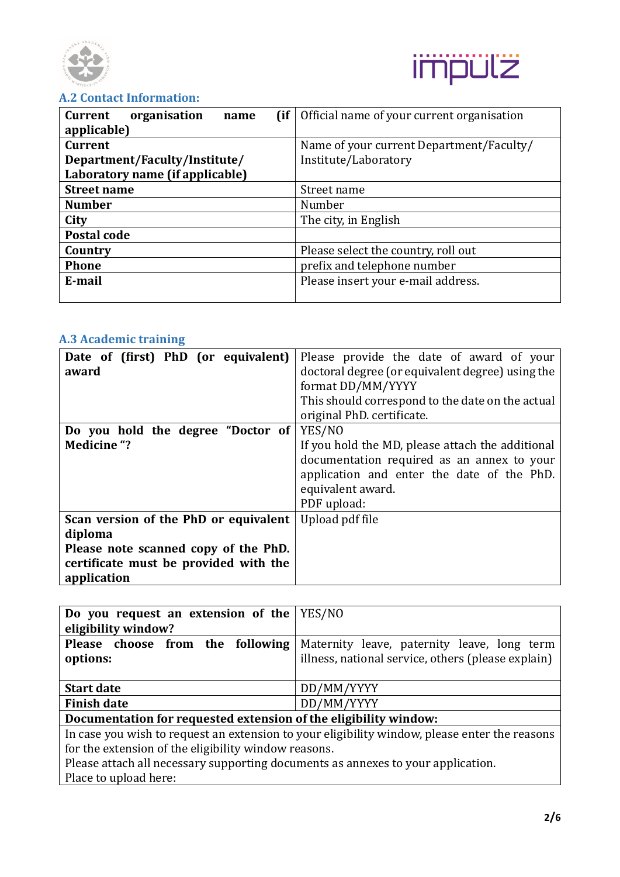



## <span id="page-1-0"></span>**A.2 Contact Information:**

| (if<br><b>Current</b><br>organisation<br>name<br>applicable)                       | Official name of your current organisation                       |  |  |  |
|------------------------------------------------------------------------------------|------------------------------------------------------------------|--|--|--|
| <b>Current</b><br>Department/Faculty/Institute/<br>Laboratory name (if applicable) | Name of your current Department/Faculty/<br>Institute/Laboratory |  |  |  |
| <b>Street name</b>                                                                 | Street name                                                      |  |  |  |
| <b>Number</b>                                                                      | Number                                                           |  |  |  |
| City                                                                               | The city, in English                                             |  |  |  |
| Postal code                                                                        |                                                                  |  |  |  |
| Country                                                                            | Please select the country, roll out                              |  |  |  |
| <b>Phone</b>                                                                       | prefix and telephone number                                      |  |  |  |
| E-mail                                                                             | Please insert your e-mail address.                               |  |  |  |

# <span id="page-1-1"></span>**A.3 Academic training**

| Date of (first) PhD (or equivalent)<br>award                                                                                                     | Please provide the date of award of your<br>doctoral degree (or equivalent degree) using the<br>format DD/MM/YYYY<br>This should correspond to the date on the actual<br>original PhD. certificate. |  |  |  |
|--------------------------------------------------------------------------------------------------------------------------------------------------|-----------------------------------------------------------------------------------------------------------------------------------------------------------------------------------------------------|--|--|--|
| Do you hold the degree "Doctor of<br><b>Medicine "?</b>                                                                                          | YES/NO<br>If you hold the MD, please attach the additional<br>documentation required as an annex to your<br>application and enter the date of the PhD.<br>equivalent award.<br>PDF upload:          |  |  |  |
| Scan version of the PhD or equivalent<br>diploma<br>Please note scanned copy of the PhD.<br>certificate must be provided with the<br>application | Upload pdf file                                                                                                                                                                                     |  |  |  |

| Do you request an extension of the                                               | YES/NO                                                                                        |  |
|----------------------------------------------------------------------------------|-----------------------------------------------------------------------------------------------|--|
| eligibility window?                                                              |                                                                                               |  |
| Please choose from the following                                                 | Maternity leave, paternity leave, long term                                                   |  |
| options:                                                                         | illness, national service, others (please explain)                                            |  |
| <b>Start date</b>                                                                | DD/MM/YYYY                                                                                    |  |
| <b>Finish date</b>                                                               | DD/MM/YYYY                                                                                    |  |
| Documentation for requested extension of the eligibility window:                 |                                                                                               |  |
|                                                                                  | In case you wish to request an extension to your eligibility window, please enter the reasons |  |
| for the extension of the eligibility window reasons.                             |                                                                                               |  |
| Please attach all necessary supporting documents as annexes to your application. |                                                                                               |  |
| Place to upload here:                                                            |                                                                                               |  |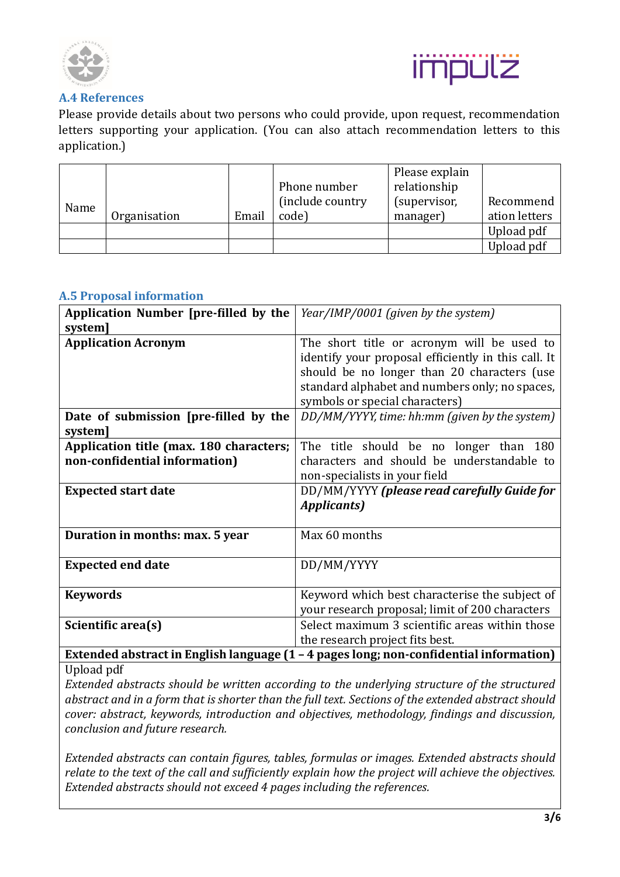



#### <span id="page-2-0"></span>**A.4 References**

Please provide details about two persons who could provide, upon request, recommendation letters supporting your application. (You can also attach recommendation letters to this application.)

|      |              |       | Phone number               | Please explain<br>relationship |                            |
|------|--------------|-------|----------------------------|--------------------------------|----------------------------|
| Name | Organisation | Email | (include country)<br>code) | (supervisor,<br>manager)       | Recommend<br>ation letters |
|      |              |       |                            |                                | Upload pdf                 |
|      |              |       |                            |                                | Upload pdf                 |

## <span id="page-2-1"></span>**A.5 Proposal information**

| Application Number [pre-filled by the<br>system]                         | Year/IMP/0001 (given by the system)                                                                                                                                                                                                  |  |  |  |  |
|--------------------------------------------------------------------------|--------------------------------------------------------------------------------------------------------------------------------------------------------------------------------------------------------------------------------------|--|--|--|--|
| <b>Application Acronym</b>                                               | The short title or acronym will be used to<br>identify your proposal efficiently in this call. It<br>should be no longer than 20 characters (use<br>standard alphabet and numbers only; no spaces,<br>symbols or special characters) |  |  |  |  |
| Date of submission [pre-filled by the<br>system]                         | DD/MM/YYYY, time: hh:mm (given by the system)                                                                                                                                                                                        |  |  |  |  |
| Application title (max. 180 characters;<br>non-confidential information) | The title should be no longer than 180<br>characters and should be understandable to<br>non-specialists in your field                                                                                                                |  |  |  |  |
| <b>Expected start date</b>                                               | DD/MM/YYYY (please read carefully Guide for<br><b>Applicants</b> )                                                                                                                                                                   |  |  |  |  |
| Duration in months: max. 5 year                                          | Max 60 months                                                                                                                                                                                                                        |  |  |  |  |
| <b>Expected end date</b>                                                 | DD/MM/YYYY                                                                                                                                                                                                                           |  |  |  |  |
| <b>Keywords</b>                                                          | Keyword which best characterise the subject of<br>your research proposal; limit of 200 characters                                                                                                                                    |  |  |  |  |
| Scientific area(s)                                                       | Select maximum 3 scientific areas within those<br>the research project fits best.                                                                                                                                                    |  |  |  |  |

**Extended abstract in English language (1 – 4 pages long; non-confidential information)** Upload pdf

*Extended abstracts should be written according to the underlying structure of the structured abstract and in a form that is shorter than the full text. Sections of the extended abstract should cover: abstract, keywords, introduction and objectives, methodology, findings and discussion, conclusion and future research.* 

*Extended abstracts can contain figures, tables, formulas or images. Extended abstracts should relate to the text of the call and sufficiently explain how the project will achieve the objectives. Extended abstracts should not exceed 4 pages including the references.*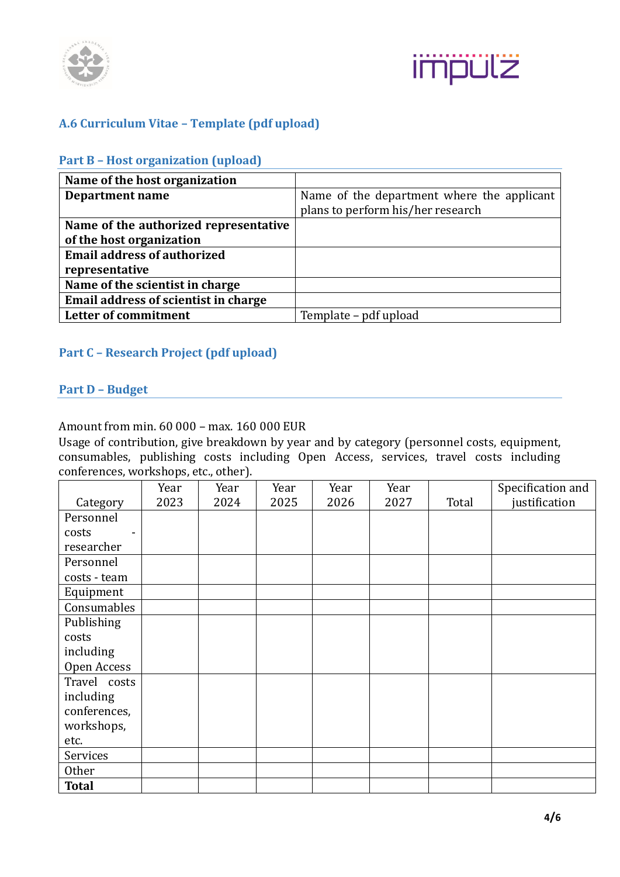



## <span id="page-3-1"></span><span id="page-3-0"></span>**A.6 Curriculum Vitae – Template (pdf upload)**

#### **Part B – Host organization (upload)**

| Name of the host organization         |                                            |
|---------------------------------------|--------------------------------------------|
| Department name                       | Name of the department where the applicant |
|                                       | plans to perform his/her research          |
| Name of the authorized representative |                                            |
| of the host organization              |                                            |
| <b>Email address of authorized</b>    |                                            |
| representative                        |                                            |
| Name of the scientist in charge       |                                            |
| Email address of scientist in charge  |                                            |
| Letter of commitment                  | Template – pdf upload                      |

## <span id="page-3-3"></span><span id="page-3-2"></span>**Part C – Research Project (pdf upload)**

#### **Part D – Budget**

#### Amount from min. 60 000 – max. 160 000 EUR

Usage of contribution, give breakdown by year and by category (personnel costs, equipment, consumables, publishing costs including Open Access, services, travel costs including conferences, workshops, etc., other).

|              | Year | Year | Year | Year | Year |       | Specification and |
|--------------|------|------|------|------|------|-------|-------------------|
| Category     | 2023 | 2024 | 2025 | 2026 | 2027 | Total | justification     |
| Personnel    |      |      |      |      |      |       |                   |
| costs        |      |      |      |      |      |       |                   |
| researcher   |      |      |      |      |      |       |                   |
| Personnel    |      |      |      |      |      |       |                   |
| costs - team |      |      |      |      |      |       |                   |
| Equipment    |      |      |      |      |      |       |                   |
| Consumables  |      |      |      |      |      |       |                   |
| Publishing   |      |      |      |      |      |       |                   |
| costs        |      |      |      |      |      |       |                   |
| including    |      |      |      |      |      |       |                   |
| Open Access  |      |      |      |      |      |       |                   |
| Travel costs |      |      |      |      |      |       |                   |
| including    |      |      |      |      |      |       |                   |
| conferences, |      |      |      |      |      |       |                   |
| workshops,   |      |      |      |      |      |       |                   |
| etc.         |      |      |      |      |      |       |                   |
| Services     |      |      |      |      |      |       |                   |
| Other        |      |      |      |      |      |       |                   |
| <b>Total</b> |      |      |      |      |      |       |                   |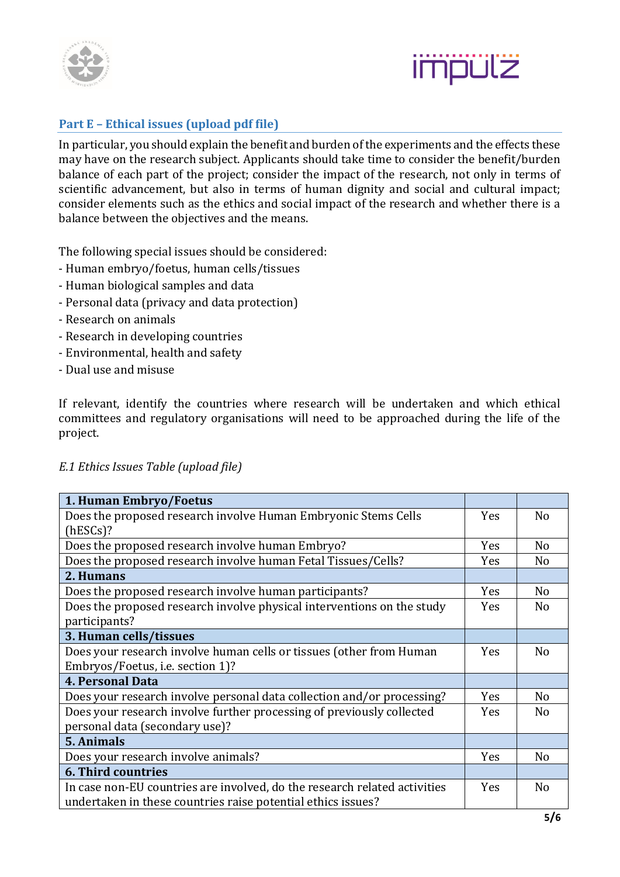



## <span id="page-4-0"></span>**Part E – Ethical issues (upload pdf file)**

In particular, you should explain the benefit and burden of the experiments and the effects these may have on the research subject. Applicants should take time to consider the benefit/burden balance of each part of the project; consider the impact of the research, not only in terms of scientific advancement, but also in terms of human dignity and social and cultural impact; consider elements such as the ethics and social impact of the research and whether there is a balance between the objectives and the means.

The following special issues should be considered:

- Human embryo/foetus, human cells/tissues
- Human biological samples and data
- Personal data (privacy and data protection)
- Research on animals
- Research in developing countries
- Environmental, health and safety
- Dual use and misuse

If relevant, identify the countries where research will be undertaken and which ethical committees and regulatory organisations will need to be approached during the life of the project.

| 1. Human Embryo/Foetus                                                    |            |                |
|---------------------------------------------------------------------------|------------|----------------|
| Does the proposed research involve Human Embryonic Stems Cells            | Yes        | N <sub>o</sub> |
| $(hESCs)$ ?                                                               |            |                |
| Does the proposed research involve human Embryo?                          | Yes        | N <sub>o</sub> |
| Does the proposed research involve human Fetal Tissues/Cells?             | Yes        | N <sub>0</sub> |
| 2. Humans                                                                 |            |                |
| Does the proposed research involve human participants?                    | Yes        | N <sub>o</sub> |
| Does the proposed research involve physical interventions on the study    | <b>Yes</b> | N <sub>o</sub> |
| participants?                                                             |            |                |
| 3. Human cells/tissues                                                    |            |                |
| Does your research involve human cells or tissues (other from Human       | <b>Yes</b> | N <sub>o</sub> |
| Embryos/Foetus, i.e. section 1)?                                          |            |                |
| <b>4. Personal Data</b>                                                   |            |                |
| Does your research involve personal data collection and/or processing?    | Yes        | N <sub>o</sub> |
| Does your research involve further processing of previously collected     | <b>Yes</b> | N <sub>o</sub> |
| personal data (secondary use)?                                            |            |                |
| 5. Animals                                                                |            |                |
| Does your research involve animals?                                       | Yes        | N <sub>o</sub> |
| <b>6. Third countries</b>                                                 |            |                |
| In case non-EU countries are involved, do the research related activities | <b>Yes</b> | N <sub>o</sub> |
| undertaken in these countries raise potential ethics issues?              |            |                |
|                                                                           |            | .              |

#### *E.1 Ethics Issues Table (upload file)*